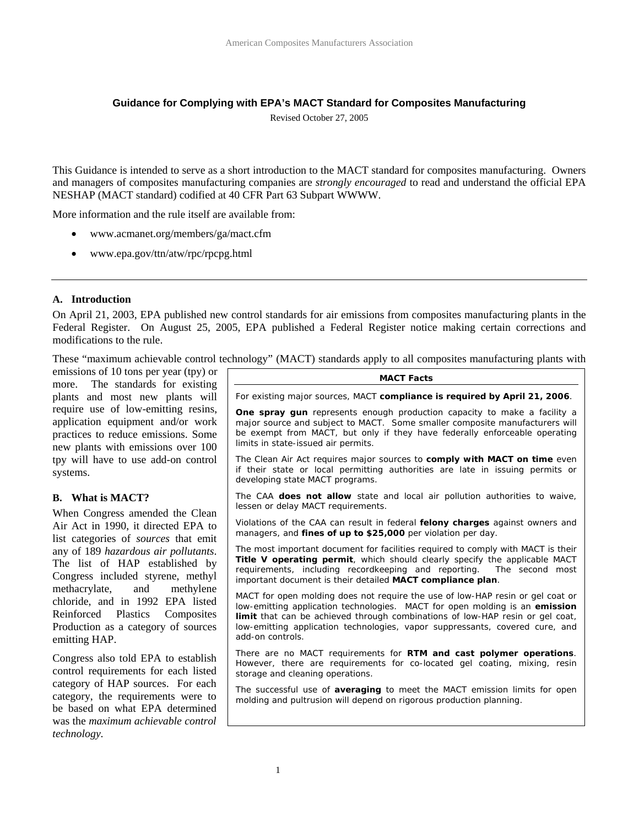#### **Guidance for Complying with EPA's MACT Standard for Composites Manufacturing**

Revised October 27, 2005

This Guidance is intended to serve as a short introduction to the MACT standard for composites manufacturing. Owners and managers of composites manufacturing companies are *strongly encouraged* to read and understand the official EPA NESHAP (MACT standard) codified at 40 CFR Part 63 Subpart WWWW.

More information and the rule itself are available from:

- www.acmanet.org/members/ga/mact.cfm
- www.epa.gov/ttn/atw/rpc/rpcpg.html

#### **A. Introduction**

On April 21, 2003, EPA published new control standards for air emissions from composites manufacturing plants in the Federal Register. On August 25, 2005, EPA published a Federal Register notice making certain corrections and modifications to the rule.

These "maximum achievable control technology" (MACT) standards apply to all composites manufacturing plants with

emissions of 10 tons per year (tp) more. The standards for exiplants and most new plants require use of low-emitting re application equipment and/or practices to reduce emissions. S new plants with emissions over tpy will have to use add-on co systems.

#### **B. What is MACT?**

When Congress amended the C Air Act in 1990, it directed EP list categories of *sources* that any of 189 hazardous air pollut The list of HAP established Congress included styrene, methyl methacrylate, and methy chloride, and in 1992 EPA Reinforced Plastics Compo Production as a category of sources emitting HAP.

Congress also told EPA to esta control requirements for each category of HAP sources. For category, the requirements were be based on what EPA determ was the *maximum achievable control technology*.

| <b>MACT Facts</b>                                                                                                                                                                                                                                                                                                                                  |
|----------------------------------------------------------------------------------------------------------------------------------------------------------------------------------------------------------------------------------------------------------------------------------------------------------------------------------------------------|
| For existing major sources, MACT compliance is required by April 21, 2006.                                                                                                                                                                                                                                                                         |
| <b>One spray gun</b> represents enough production capacity to make a facility a<br>major source and subject to MACT. Some smaller composite manufacturers will<br>be exempt from MACT, but only if they have federally enforceable operating<br>limits in state-issued air permits.                                                                |
| The Clean Air Act requires major sources to comply with MACT on time even<br>if their state or local permitting authorities are late in issuing permits or<br>developing state MACT programs.                                                                                                                                                      |
| The CAA <b>does not allow</b> state and local air pollution authorities to waive,<br>lessen or delay MACT requirements.                                                                                                                                                                                                                            |
| Violations of the CAA can result in federal <b>felony charges</b> against owners and<br>managers, and fines of up to \$25,000 per violation per day.                                                                                                                                                                                               |
| The most important document for facilities required to comply with MACT is their<br>Title V operating permit, which should clearly specify the applicable MACT<br>requirements, including recordkeeping and reporting.<br>The second<br>most<br>important document is their detailed MACT compliance plan.                                         |
| MACT for open molding does not require the use of low-HAP resin or gel coat or<br>low-emitting application technologies. MACT for open molding is an emission<br>limit that can be achieved through combinations of low-HAP resin or gel coat,<br>low-emitting application technologies, vapor suppressants, covered cure, and<br>add-on controls. |
| There are no MACT requirements for RTM and cast polymer operations.<br>However, there are requirements for co-located gel coating, mixing, resin<br>storage and cleaning operations.                                                                                                                                                               |
| The successful use of <b>averaging</b> to meet the MACT emission limits for open<br>molding and pultrusion will depend on rigorous production planning.                                                                                                                                                                                            |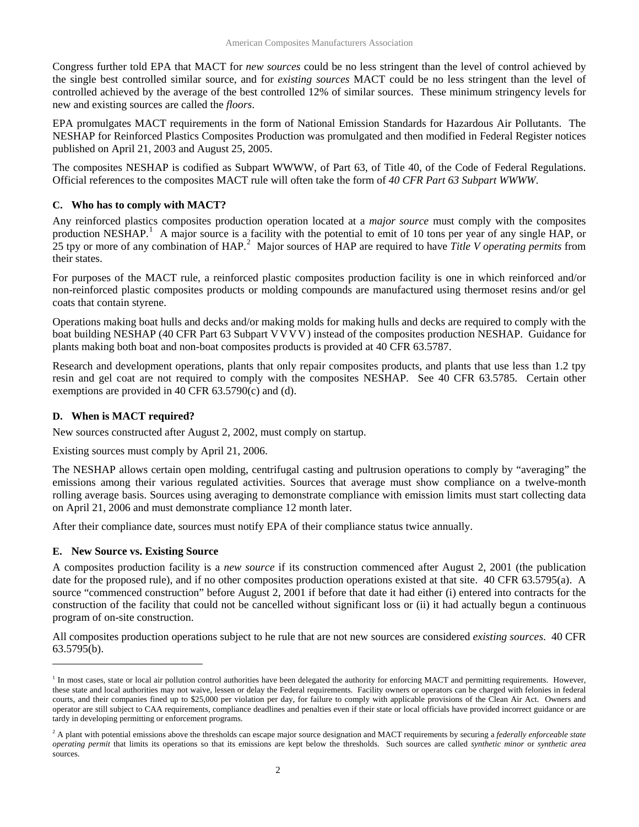Congress further told EPA that MACT for *new sources* could be no less stringent than the level of control achieved by the single best controlled similar source, and for *existing sources* MACT could be no less stringent than the level of controlled achieved by the average of the best controlled 12% of similar sources. These minimum stringency levels for new and existing sources are called the *floors*.

EPA promulgates MACT requirements in the form of National Emission Standards for Hazardous Air Pollutants. The NESHAP for Reinforced Plastics Composites Production was promulgated and then modified in Federal Register notices published on April 21, 2003 and August 25, 2005.

The composites NESHAP is codified as Subpart WWWW, of Part 63, of Title 40, of the Code of Federal Regulations. Official references to the composites MACT rule will often take the form of *40 CFR Part 63 Subpart WWWW*.

## **C. Who has to comply with MACT?**

Any reinforced plastics composites production operation located at a *major source* must comply with the composites production NESHAP.<sup>[1](#page-1-0)</sup> A major source is a facility with the potential to emit of 10 tons per year of any single HAP, or 25 tpy or more of any combination of HAP.[2](#page-1-1) Major sources of HAP are required to have *Title V operating permits* from their states.

For purposes of the MACT rule, a reinforced plastic composites production facility is one in which reinforced and/or non-reinforced plastic composites products or molding compounds are manufactured using thermoset resins and/or gel coats that contain styrene.

Operations making boat hulls and decks and/or making molds for making hulls and decks are required to comply with the boat building NESHAP (40 CFR Part 63 Subpart VVVV) instead of the composites production NESHAP. Guidance for plants making both boat and non-boat composites products is provided at 40 CFR 63.5787.

Research and development operations, plants that only repair composites products, and plants that use less than 1.2 tpy resin and gel coat are not required to comply with the composites NESHAP. See 40 CFR 63.5785. Certain other exemptions are provided in 40 CFR 63.5790(c) and (d).

## **D. When is MACT required?**

New sources constructed after August 2, 2002, must comply on startup.

Existing sources must comply by April 21, 2006.

The NESHAP allows certain open molding, centrifugal casting and pultrusion operations to comply by "averaging" the emissions among their various regulated activities. Sources that average must show compliance on a twelve-month rolling average basis. Sources using averaging to demonstrate compliance with emission limits must start collecting data on April 21, 2006 and must demonstrate compliance 12 month later.

After their compliance date, sources must notify EPA of their compliance status twice annually.

# **E. New Source vs. Existing Source**

 $\overline{a}$ 

A composites production facility is a *new source* if its construction commenced after August 2, 2001 (the publication date for the proposed rule), and if no other composites production operations existed at that site. 40 CFR 63.5795(a). A source "commenced construction" before August 2, 2001 if before that date it had either (i) entered into contracts for the construction of the facility that could not be cancelled without significant loss or (ii) it had actually begun a continuous program of on-site construction.

All composites production operations subject to he rule that are not new sources are considered *existing sources*. 40 CFR 63.5795(b).

<span id="page-1-0"></span><sup>&</sup>lt;sup>1</sup> In most cases, state or local air pollution control authorities have been delegated the authority for enforcing MACT and permitting requirements. However, these state and local authorities may not waive, lessen or delay the Federal requirements. Facility owners or operators can be charged with felonies in federal courts, and their companies fined up to \$25,000 per violation per day, for failure to comply with applicable provisions of the Clean Air Act. Owners and operator are still subject to CAA requirements, compliance deadlines and penalties even if their state or local officials have provided incorrect guidance or are tardy in developing permitting or enforcement programs.

<span id="page-1-1"></span><sup>&</sup>lt;sup>2</sup> A plant with potential emissions above the thresholds can escape major source designation and MACT requirements by securing a *federally enforceable state operating permit* that limits its operations so that its emissions are kept below the thresholds. Such sources are called *synthetic minor* or *synthetic area* sources.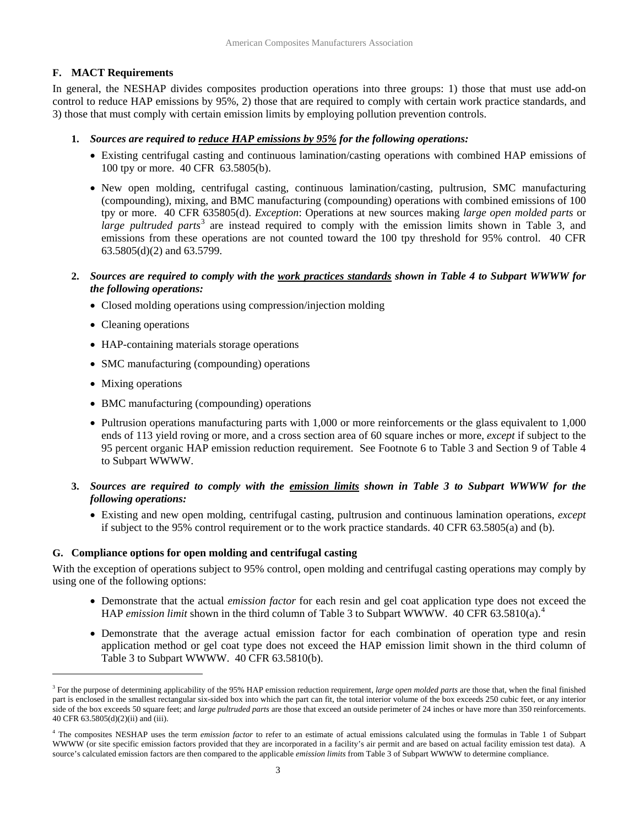## **F. MACT Requirements**

In general, the NESHAP divides composites production operations into three groups: 1) those that must use add-on control to reduce HAP emissions by 95%, 2) those that are required to comply with certain work practice standards, and 3) those that must comply with certain emission limits by employing pollution prevention controls.

- **1.** *Sources are required to reduce HAP emissions by 95% for the following operations:* 
	- Existing centrifugal casting and continuous lamination/casting operations with combined HAP emissions of 100 tpy or more. 40 CFR 63.5805(b).
	- New open molding, centrifugal casting, continuous lamination/casting, pultrusion, SMC manufacturing (compounding), mixing, and BMC manufacturing (compounding) operations with combined emissions of 100 tpy or more. 40 CFR 635805(d). *Exception*: Operations at new sources making *large open molded parts* or *large pultruded parts*<sup>[3](#page-2-0)</sup> are instead required to comply with the emission limits shown in Table 3, and emissions from these operations are not counted toward the 100 tpy threshold for 95% control. 40 CFR 63.5805(d)(2) and 63.5799.
- **2.** *Sources are required to comply with the work practices standards shown in Table 4 to Subpart WWWW for the following operations:* 
	- Closed molding operations using compression/injection molding
	- Cleaning operations
	- HAP-containing materials storage operations
	- SMC manufacturing (compounding) operations
	- Mixing operations

 $\overline{a}$ 

- BMC manufacturing (compounding) operations
- Pultrusion operations manufacturing parts with 1,000 or more reinforcements or the glass equivalent to 1,000 ends of 113 yield roving or more, and a cross section area of 60 square inches or more, *except* if subject to the 95 percent organic HAP emission reduction requirement. See Footnote 6 to Table 3 and Section 9 of Table 4 to Subpart WWWW.
- **3.** *Sources are required to comply with the emission limits shown in Table 3 to Subpart WWWW for the following operations:* 
	- Existing and new open molding, centrifugal casting, pultrusion and continuous lamination operations, *except* if subject to the 95% control requirement or to the work practice standards. 40 CFR 63.5805(a) and (b).

### **G. Compliance options for open molding and centrifugal casting**

With the exception of operations subject to 95% control, open molding and centrifugal casting operations may comply by using one of the following options:

- Demonstrate that the actual *emission factor* for each resin and gel coat application type does not exceed the HAP *emission limit* shown in the third column of Table 3 to Subpart WWWW. [4](#page-2-1)0 CFR 63.5810(a).<sup>4</sup>
- Demonstrate that the average actual emission factor for each combination of operation type and resin application method or gel coat type does not exceed the HAP emission limit shown in the third column of Table 3 to Subpart WWWW. 40 CFR 63.5810(b).

<span id="page-2-0"></span><sup>&</sup>lt;sup>3</sup> For the purpose of determining applicability of the 95% HAP emission reduction requirement, *large open molded parts* are those that, when the final finished part is enclosed in the smallest rectangular six-sided box into which the part can fit, the total interior volume of the box exceeds 250 cubic feet, or any interior side of the box exceeds 50 square feet; and *large pultruded parts* are those that exceed an outside perimeter of 24 inches or have more than 350 reinforcements. 40 CFR 63.5805(d)(2)(ii) and (iii).

<span id="page-2-1"></span><sup>4</sup> The composites NESHAP uses the term *emission factor* to refer to an estimate of actual emissions calculated using the formulas in Table 1 of Subpart WWWW (or site specific emission factors provided that they are incorporated in a facility's air permit and are based on actual facility emission test data). A source's calculated emission factors are then compared to the applicable *emission limits* from Table 3 of Subpart WWWW to determine compliance.